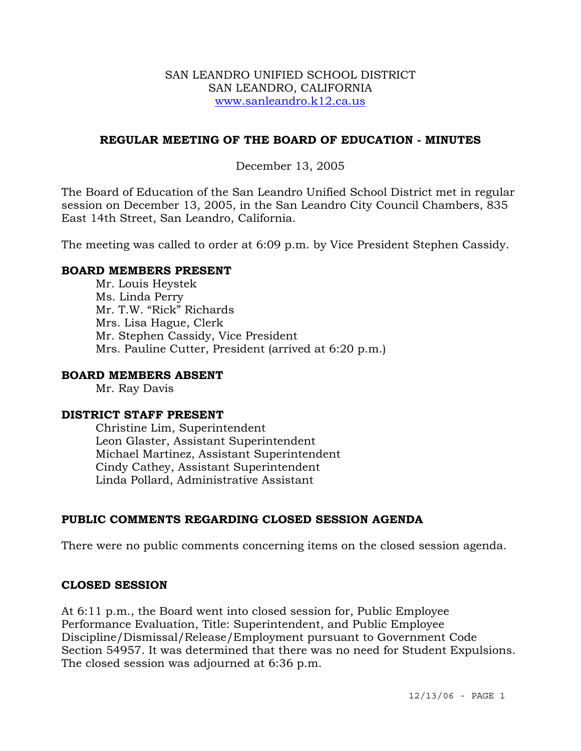#### SAN LEANDRO UNIFIED SCHOOL DISTRICT SAN LEANDRO, CALIFORNIA www.sanleandro.k12.ca.us

### **REGULAR MEETING OF THE BOARD OF EDUCATION - MINUTES**

## December 13, 2005

The Board of Education of the San Leandro Unified School District met in regular session on December 13, 2005, in the San Leandro City Council Chambers, 835 East 14th Street, San Leandro, California.

The meeting was called to order at 6:09 p.m. by Vice President Stephen Cassidy.

### **BOARD MEMBERS PRESENT**

Mr. Louis Heystek Ms. Linda Perry Mr. T.W. "Rick" Richards Mrs. Lisa Hague, Clerk Mr. Stephen Cassidy, Vice President Mrs. Pauline Cutter, President (arrived at 6:20 p.m.)

### **BOARD MEMBERS ABSENT**

Mr. Ray Davis

#### **DISTRICT STAFF PRESENT**

Christine Lim, Superintendent Leon Glaster, Assistant Superintendent Michael Martinez, Assistant Superintendent Cindy Cathey, Assistant Superintendent Linda Pollard, Administrative Assistant

# **PUBLIC COMMENTS REGARDING CLOSED SESSION AGENDA**

There were no public comments concerning items on the closed session agenda.

### **CLOSED SESSION**

At 6:11 p.m., the Board went into closed session for, Public Employee Performance Evaluation, Title: Superintendent, and Public Employee Discipline/Dismissal/Release/Employment pursuant to Government Code Section 54957. It was determined that there was no need for Student Expulsions. The closed session was adjourned at 6:36 p.m.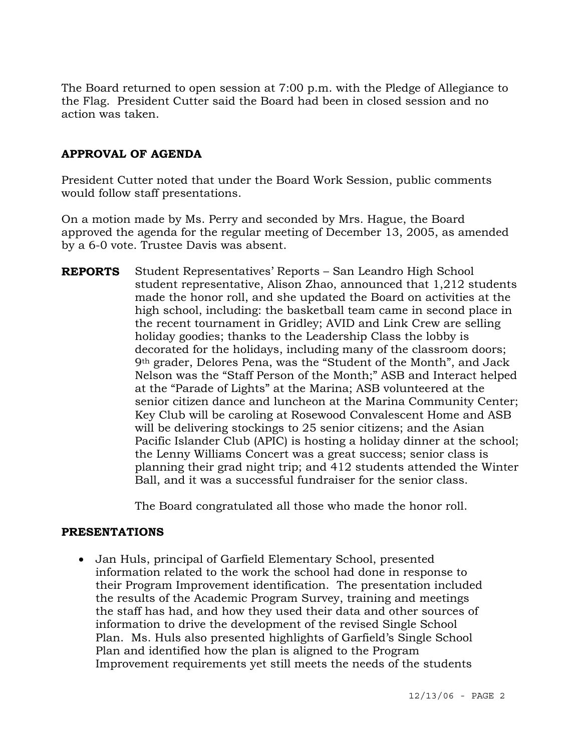The Board returned to open session at 7:00 p.m. with the Pledge of Allegiance to the Flag. President Cutter said the Board had been in closed session and no action was taken.

## **APPROVAL OF AGENDA**

President Cutter noted that under the Board Work Session, public comments would follow staff presentations.

On a motion made by Ms. Perry and seconded by Mrs. Hague, the Board approved the agenda for the regular meeting of December 13, 2005, as amended by a 6-0 vote. Trustee Davis was absent.

**REPORTS** Student Representatives' Reports – San Leandro High School student representative, Alison Zhao, announced that 1,212 students made the honor roll, and she updated the Board on activities at the high school, including: the basketball team came in second place in the recent tournament in Gridley; AVID and Link Crew are selling holiday goodies; thanks to the Leadership Class the lobby is decorated for the holidays, including many of the classroom doors; 9th grader, Delores Pena, was the "Student of the Month", and Jack Nelson was the "Staff Person of the Month;" ASB and Interact helped at the "Parade of Lights" at the Marina; ASB volunteered at the senior citizen dance and luncheon at the Marina Community Center; Key Club will be caroling at Rosewood Convalescent Home and ASB will be delivering stockings to 25 senior citizens; and the Asian Pacific Islander Club (APIC) is hosting a holiday dinner at the school; the Lenny Williams Concert was a great success; senior class is planning their grad night trip; and 412 students attended the Winter Ball, and it was a successful fundraiser for the senior class.

The Board congratulated all those who made the honor roll.

### **PRESENTATIONS**

• Jan Huls, principal of Garfield Elementary School, presented information related to the work the school had done in response to their Program Improvement identification. The presentation included the results of the Academic Program Survey, training and meetings the staff has had, and how they used their data and other sources of information to drive the development of the revised Single School Plan. Ms. Huls also presented highlights of Garfield's Single School Plan and identified how the plan is aligned to the Program Improvement requirements yet still meets the needs of the students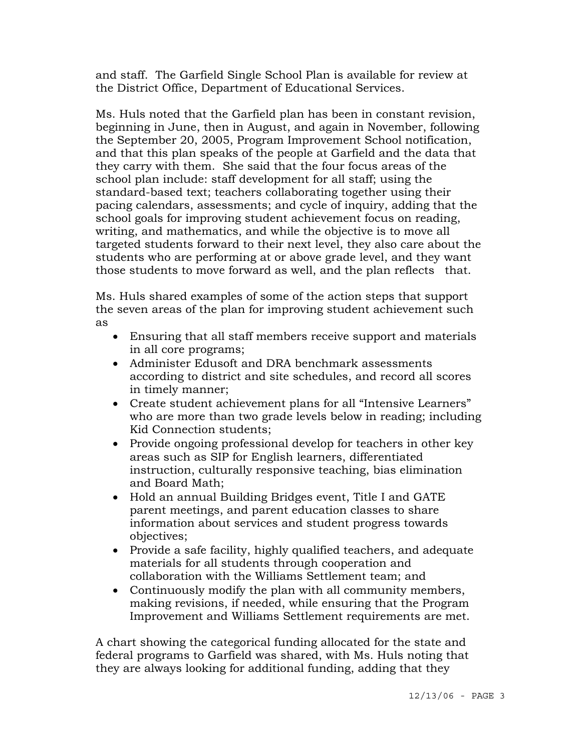and staff. The Garfield Single School Plan is available for review at the District Office, Department of Educational Services.

 Ms. Huls noted that the Garfield plan has been in constant revision, beginning in June, then in August, and again in November, following the September 20, 2005, Program Improvement School notification, and that this plan speaks of the people at Garfield and the data that they carry with them. She said that the four focus areas of the school plan include: staff development for all staff; using the standard-based text; teachers collaborating together using their pacing calendars, assessments; and cycle of inquiry, adding that the school goals for improving student achievement focus on reading, writing, and mathematics, and while the objective is to move all targeted students forward to their next level, they also care about the students who are performing at or above grade level, and they want those students to move forward as well, and the plan reflects that.

 Ms. Huls shared examples of some of the action steps that support the seven areas of the plan for improving student achievement such as

- Ensuring that all staff members receive support and materials in all core programs;
- Administer Edusoft and DRA benchmark assessments according to district and site schedules, and record all scores in timely manner;
- Create student achievement plans for all "Intensive Learners" who are more than two grade levels below in reading; including Kid Connection students;
- Provide ongoing professional develop for teachers in other key areas such as SIP for English learners, differentiated instruction, culturally responsive teaching, bias elimination and Board Math;
- Hold an annual Building Bridges event, Title I and GATE parent meetings, and parent education classes to share information about services and student progress towards objectives;
- Provide a safe facility, highly qualified teachers, and adequate materials for all students through cooperation and collaboration with the Williams Settlement team; and
- Continuously modify the plan with all community members, making revisions, if needed, while ensuring that the Program Improvement and Williams Settlement requirements are met.

 A chart showing the categorical funding allocated for the state and federal programs to Garfield was shared, with Ms. Huls noting that they are always looking for additional funding, adding that they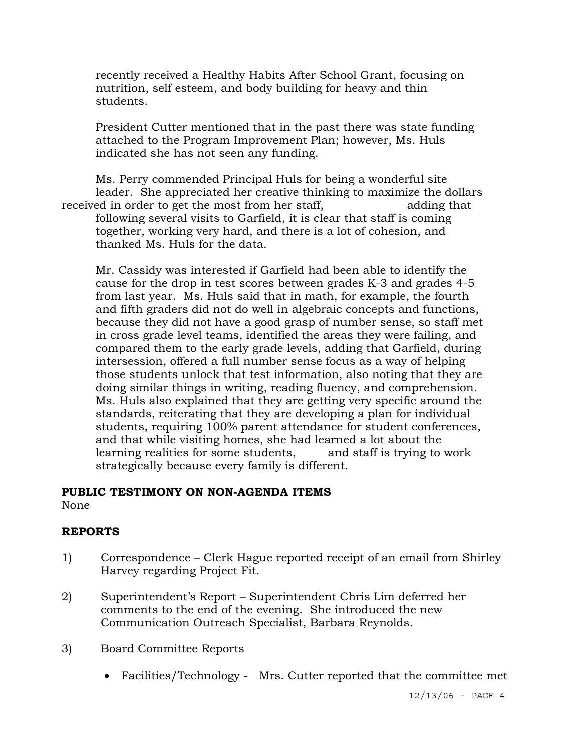recently received a Healthy Habits After School Grant, focusing on nutrition, self esteem, and body building for heavy and thin students.

 President Cutter mentioned that in the past there was state funding attached to the Program Improvement Plan; however, Ms. Huls indicated she has not seen any funding.

 Ms. Perry commended Principal Huls for being a wonderful site leader. She appreciated her creative thinking to maximize the dollars received in order to get the most from her staff, adding that following several visits to Garfield, it is clear that staff is coming together, working very hard, and there is a lot of cohesion, and thanked Ms. Huls for the data.

Mr. Cassidy was interested if Garfield had been able to identify the cause for the drop in test scores between grades K-3 and grades 4-5 from last year. Ms. Huls said that in math, for example, the fourth and fifth graders did not do well in algebraic concepts and functions, because they did not have a good grasp of number sense, so staff met in cross grade level teams, identified the areas they were failing, and compared them to the early grade levels, adding that Garfield, during intersession, offered a full number sense focus as a way of helping those students unlock that test information, also noting that they are doing similar things in writing, reading fluency, and comprehension. Ms. Huls also explained that they are getting very specific around the standards, reiterating that they are developing a plan for individual students, requiring 100% parent attendance for student conferences, and that while visiting homes, she had learned a lot about the learning realities for some students, and staff is trying to work strategically because every family is different.

#### **PUBLIC TESTIMONY ON NON-AGENDA ITEMS**

None

### **REPORTS**

- 1) Correspondence Clerk Hague reported receipt of an email from Shirley Harvey regarding Project Fit.
- 2) Superintendent's Report Superintendent Chris Lim deferred her comments to the end of the evening. She introduced the new Communication Outreach Specialist, Barbara Reynolds.
- 3) Board Committee Reports
	- Facilities/Technology Mrs. Cutter reported that the committee met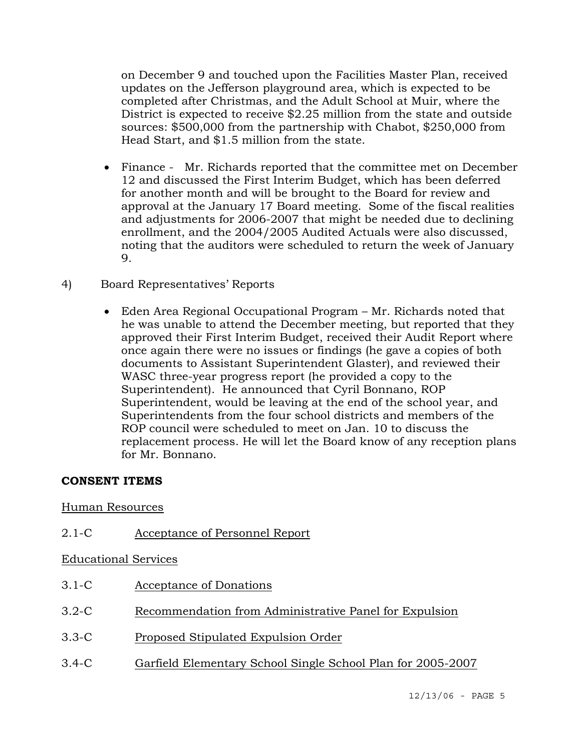on December 9 and touched upon the Facilities Master Plan, received updates on the Jefferson playground area, which is expected to be completed after Christmas, and the Adult School at Muir, where the District is expected to receive \$2.25 million from the state and outside sources: \$500,000 from the partnership with Chabot, \$250,000 from Head Start, and \$1.5 million from the state.

- Finance Mr. Richards reported that the committee met on December 12 and discussed the First Interim Budget, which has been deferred for another month and will be brought to the Board for review and approval at the January 17 Board meeting. Some of the fiscal realities and adjustments for 2006-2007 that might be needed due to declining enrollment, and the 2004/2005 Audited Actuals were also discussed, noting that the auditors were scheduled to return the week of January 9.
- 4) Board Representatives' Reports
	- Eden Area Regional Occupational Program Mr. Richards noted that he was unable to attend the December meeting, but reported that they approved their First Interim Budget, received their Audit Report where once again there were no issues or findings (he gave a copies of both documents to Assistant Superintendent Glaster), and reviewed their WASC three-year progress report (he provided a copy to the Superintendent). He announced that Cyril Bonnano, ROP Superintendent, would be leaving at the end of the school year, and Superintendents from the four school districts and members of the ROP council were scheduled to meet on Jan. 10 to discuss the replacement process. He will let the Board know of any reception plans for Mr. Bonnano.

### **CONSENT ITEMS**

### Human Resources

### 2.1-C Acceptance of Personnel Report

### Educational Services

- 3.1-C Acceptance of Donations
- 3.2-C Recommendation from Administrative Panel for Expulsion
- 3.3-C Proposed Stipulated Expulsion Order
- 3.4-C Garfield Elementary School Single School Plan for 2005-2007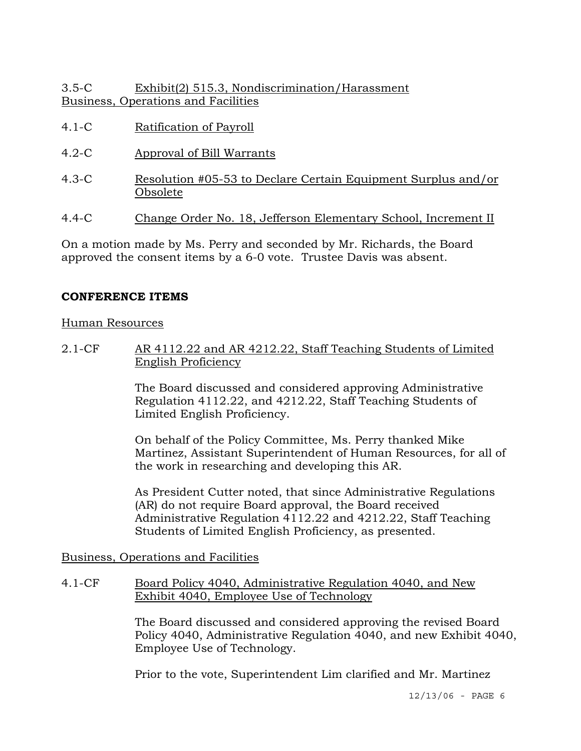## 3.5-C Exhibit(2) 515.3, Nondiscrimination/Harassment Business, Operations and Facilities

- 4.1-C Ratification of Payroll
- 4.2-C Approval of Bill Warrants
- 4.3-C Resolution #05-53 to Declare Certain Equipment Surplus and/or Obsolete
- 4.4-C Change Order No. 18, Jefferson Elementary School, Increment II

On a motion made by Ms. Perry and seconded by Mr. Richards, the Board approved the consent items by a 6-0 vote. Trustee Davis was absent.

### **CONFERENCE ITEMS**

### Human Resources

2.1-CF AR 4112.22 and AR 4212.22, Staff Teaching Students of Limited English Proficiency

> The Board discussed and considered approving Administrative Regulation 4112.22, and 4212.22, Staff Teaching Students of Limited English Proficiency.

On behalf of the Policy Committee, Ms. Perry thanked Mike Martinez, Assistant Superintendent of Human Resources, for all of the work in researching and developing this AR.

As President Cutter noted, that since Administrative Regulations (AR) do not require Board approval, the Board received Administrative Regulation 4112.22 and 4212.22, Staff Teaching Students of Limited English Proficiency, as presented.

### Business, Operations and Facilities

4.1-CF Board Policy 4040, Administrative Regulation 4040, and New Exhibit 4040, Employee Use of Technology

> The Board discussed and considered approving the revised Board Policy 4040, Administrative Regulation 4040, and new Exhibit 4040, Employee Use of Technology.

Prior to the vote, Superintendent Lim clarified and Mr. Martinez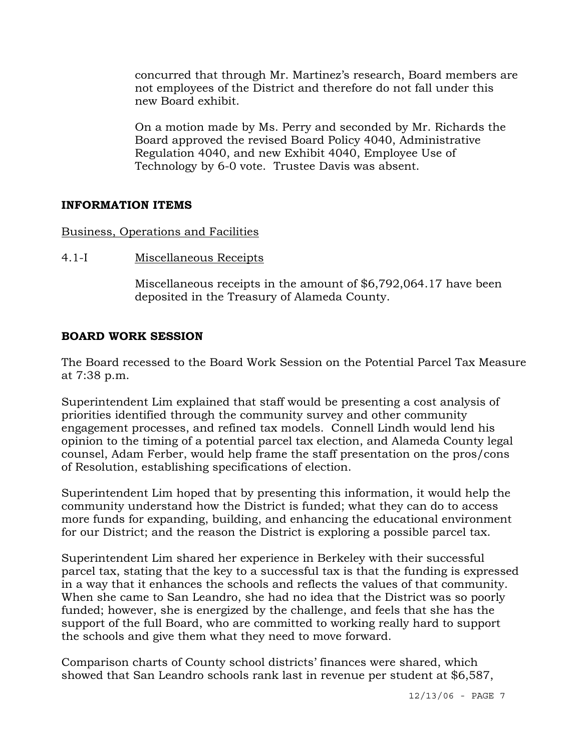concurred that through Mr. Martinez's research, Board members are not employees of the District and therefore do not fall under this new Board exhibit.

On a motion made by Ms. Perry and seconded by Mr. Richards the Board approved the revised Board Policy 4040, Administrative Regulation 4040, and new Exhibit 4040, Employee Use of Technology by 6-0 vote. Trustee Davis was absent.

### **INFORMATION ITEMS**

Business, Operations and Facilities

4.1-I Miscellaneous Receipts

Miscellaneous receipts in the amount of \$6,792,064.17 have been deposited in the Treasury of Alameda County.

#### **BOARD WORK SESSION**

The Board recessed to the Board Work Session on the Potential Parcel Tax Measure at 7:38 p.m.

Superintendent Lim explained that staff would be presenting a cost analysis of priorities identified through the community survey and other community engagement processes, and refined tax models. Connell Lindh would lend his opinion to the timing of a potential parcel tax election, and Alameda County legal counsel, Adam Ferber, would help frame the staff presentation on the pros/cons of Resolution, establishing specifications of election.

Superintendent Lim hoped that by presenting this information, it would help the community understand how the District is funded; what they can do to access more funds for expanding, building, and enhancing the educational environment for our District; and the reason the District is exploring a possible parcel tax.

Superintendent Lim shared her experience in Berkeley with their successful parcel tax, stating that the key to a successful tax is that the funding is expressed in a way that it enhances the schools and reflects the values of that community. When she came to San Leandro, she had no idea that the District was so poorly funded; however, she is energized by the challenge, and feels that she has the support of the full Board, who are committed to working really hard to support the schools and give them what they need to move forward.

Comparison charts of County school districts' finances were shared, which showed that San Leandro schools rank last in revenue per student at \$6,587,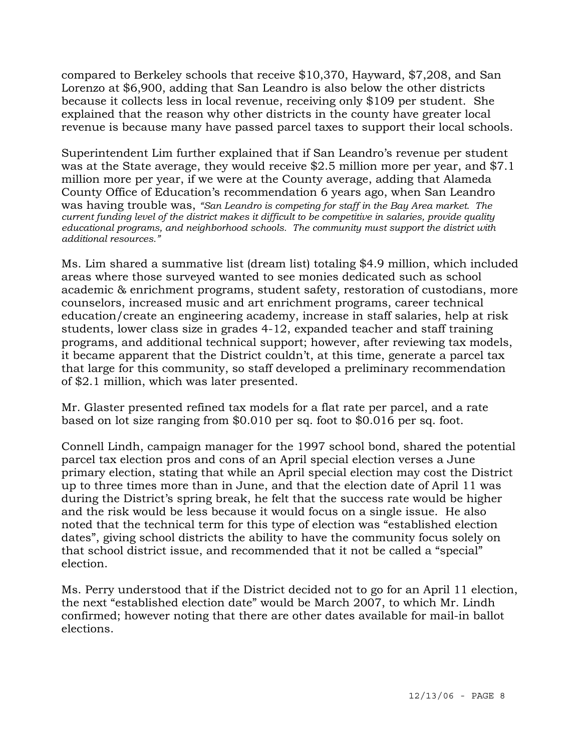compared to Berkeley schools that receive \$10,370, Hayward, \$7,208, and San Lorenzo at \$6,900, adding that San Leandro is also below the other districts because it collects less in local revenue, receiving only \$109 per student. She explained that the reason why other districts in the county have greater local revenue is because many have passed parcel taxes to support their local schools.

Superintendent Lim further explained that if San Leandro's revenue per student was at the State average, they would receive \$2.5 million more per year, and \$7.1 million more per year, if we were at the County average, adding that Alameda County Office of Education's recommendation 6 years ago, when San Leandro was having trouble was, *"San Leandro is competing for staff in the Bay Area market. The current funding level of the district makes it difficult to be competitive in salaries, provide quality educational programs, and neighborhood schools. The community must support the district with additional resources."* 

Ms. Lim shared a summative list (dream list) totaling \$4.9 million, which included areas where those surveyed wanted to see monies dedicated such as school academic & enrichment programs, student safety, restoration of custodians, more counselors, increased music and art enrichment programs, career technical education/create an engineering academy, increase in staff salaries, help at risk students, lower class size in grades 4-12, expanded teacher and staff training programs, and additional technical support; however, after reviewing tax models, it became apparent that the District couldn't, at this time, generate a parcel tax that large for this community, so staff developed a preliminary recommendation of \$2.1 million, which was later presented.

Mr. Glaster presented refined tax models for a flat rate per parcel, and a rate based on lot size ranging from \$0.010 per sq. foot to \$0.016 per sq. foot.

Connell Lindh, campaign manager for the 1997 school bond, shared the potential parcel tax election pros and cons of an April special election verses a June primary election, stating that while an April special election may cost the District up to three times more than in June, and that the election date of April 11 was during the District's spring break, he felt that the success rate would be higher and the risk would be less because it would focus on a single issue. He also noted that the technical term for this type of election was "established election dates", giving school districts the ability to have the community focus solely on that school district issue, and recommended that it not be called a "special" election.

Ms. Perry understood that if the District decided not to go for an April 11 election, the next "established election date" would be March 2007, to which Mr. Lindh confirmed; however noting that there are other dates available for mail-in ballot elections.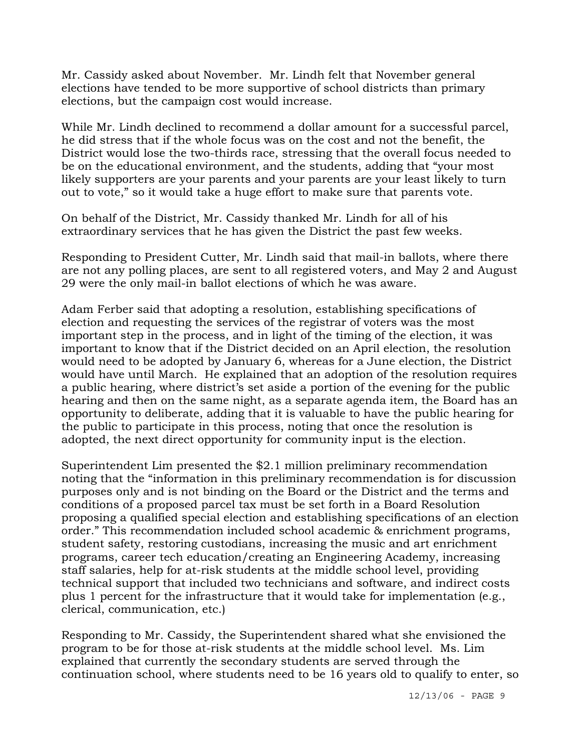Mr. Cassidy asked about November. Mr. Lindh felt that November general elections have tended to be more supportive of school districts than primary elections, but the campaign cost would increase.

While Mr. Lindh declined to recommend a dollar amount for a successful parcel, he did stress that if the whole focus was on the cost and not the benefit, the District would lose the two-thirds race, stressing that the overall focus needed to be on the educational environment, and the students, adding that "your most likely supporters are your parents and your parents are your least likely to turn out to vote," so it would take a huge effort to make sure that parents vote.

On behalf of the District, Mr. Cassidy thanked Mr. Lindh for all of his extraordinary services that he has given the District the past few weeks.

Responding to President Cutter, Mr. Lindh said that mail-in ballots, where there are not any polling places, are sent to all registered voters, and May 2 and August 29 were the only mail-in ballot elections of which he was aware.

Adam Ferber said that adopting a resolution, establishing specifications of election and requesting the services of the registrar of voters was the most important step in the process, and in light of the timing of the election, it was important to know that if the District decided on an April election, the resolution would need to be adopted by January 6, whereas for a June election, the District would have until March. He explained that an adoption of the resolution requires a public hearing, where district's set aside a portion of the evening for the public hearing and then on the same night, as a separate agenda item, the Board has an opportunity to deliberate, adding that it is valuable to have the public hearing for the public to participate in this process, noting that once the resolution is adopted, the next direct opportunity for community input is the election.

Superintendent Lim presented the \$2.1 million preliminary recommendation noting that the "information in this preliminary recommendation is for discussion purposes only and is not binding on the Board or the District and the terms and conditions of a proposed parcel tax must be set forth in a Board Resolution proposing a qualified special election and establishing specifications of an election order." This recommendation included school academic & enrichment programs, student safety, restoring custodians, increasing the music and art enrichment programs, career tech education/creating an Engineering Academy, increasing staff salaries, help for at-risk students at the middle school level, providing technical support that included two technicians and software, and indirect costs plus 1 percent for the infrastructure that it would take for implementation (e.g., clerical, communication, etc.)

Responding to Mr. Cassidy, the Superintendent shared what she envisioned the program to be for those at-risk students at the middle school level. Ms. Lim explained that currently the secondary students are served through the continuation school, where students need to be 16 years old to qualify to enter, so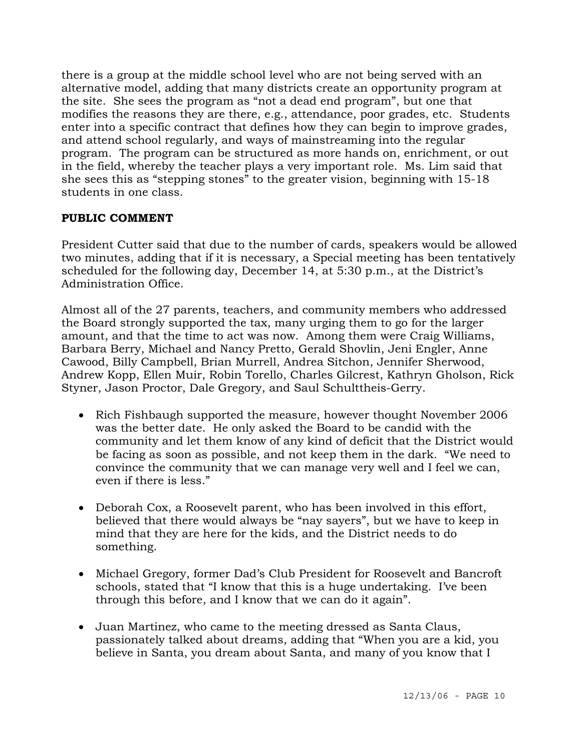there is a group at the middle school level who are not being served with an alternative model, adding that many districts create an opportunity program at the site. She sees the program as "not a dead end program", but one that modifies the reasons they are there, e.g., attendance, poor grades, etc. Students enter into a specific contract that defines how they can begin to improve grades, and attend school regularly, and ways of mainstreaming into the regular program. The program can be structured as more hands on, enrichment, or out in the field, whereby the teacher plays a very important role. Ms. Lim said that she sees this as "stepping stones" to the greater vision, beginning with 15-18 students in one class.

## **PUBLIC COMMENT**

President Cutter said that due to the number of cards, speakers would be allowed two minutes, adding that if it is necessary, a Special meeting has been tentatively scheduled for the following day, December 14, at 5:30 p.m., at the District's Administration Office.

Almost all of the 27 parents, teachers, and community members who addressed the Board strongly supported the tax, many urging them to go for the larger amount, and that the time to act was now. Among them were Craig Williams, Barbara Berry, Michael and Nancy Pretto, Gerald Shovlin, Jeni Engler, Anne Cawood, Billy Campbell, Brian Murrell, Andrea Sitchon, Jennifer Sherwood, Andrew Kopp, Ellen Muir, Robin Torello, Charles Gilcrest, Kathryn Gholson, Rick Styner, Jason Proctor, Dale Gregory, and Saul Schulttheis-Gerry.

- Rich Fishbaugh supported the measure, however thought November 2006 was the better date. He only asked the Board to be candid with the community and let them know of any kind of deficit that the District would be facing as soon as possible, and not keep them in the dark. "We need to convince the community that we can manage very well and I feel we can, even if there is less."
- Deborah Cox, a Roosevelt parent, who has been involved in this effort, believed that there would always be "nay sayers", but we have to keep in mind that they are here for the kids, and the District needs to do something.
- Michael Gregory, former Dad's Club President for Roosevelt and Bancroft schools, stated that "I know that this is a huge undertaking. I've been through this before, and I know that we can do it again".
- Juan Martinez, who came to the meeting dressed as Santa Claus, passionately talked about dreams, adding that "When you are a kid, you believe in Santa, you dream about Santa, and many of you know that I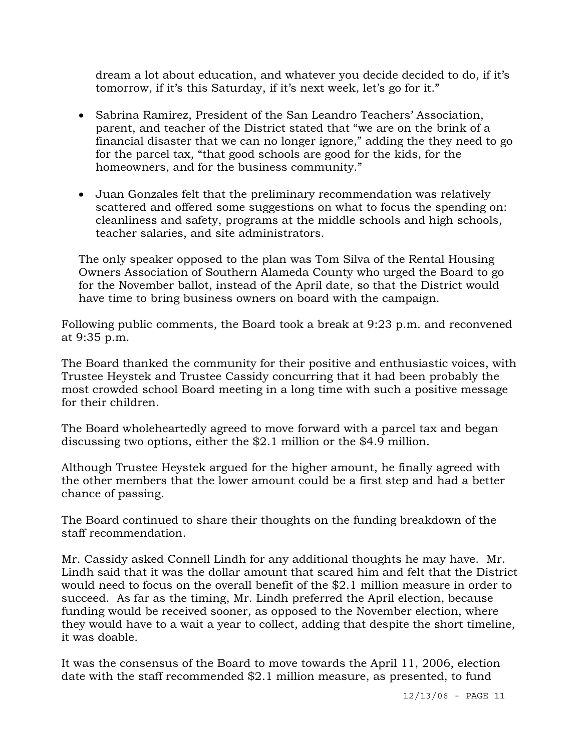dream a lot about education, and whatever you decide decided to do, if it's tomorrow, if it's this Saturday, if it's next week, let's go for it."

- Sabrina Ramirez, President of the San Leandro Teachers' Association, parent, and teacher of the District stated that "we are on the brink of a financial disaster that we can no longer ignore," adding the they need to go for the parcel tax, "that good schools are good for the kids, for the homeowners, and for the business community."
- Juan Gonzales felt that the preliminary recommendation was relatively scattered and offered some suggestions on what to focus the spending on: cleanliness and safety, programs at the middle schools and high schools, teacher salaries, and site administrators.

The only speaker opposed to the plan was Tom Silva of the Rental Housing Owners Association of Southern Alameda County who urged the Board to go for the November ballot, instead of the April date, so that the District would have time to bring business owners on board with the campaign.

Following public comments, the Board took a break at 9:23 p.m. and reconvened at 9:35 p.m.

The Board thanked the community for their positive and enthusiastic voices, with Trustee Heystek and Trustee Cassidy concurring that it had been probably the most crowded school Board meeting in a long time with such a positive message for their children.

The Board wholeheartedly agreed to move forward with a parcel tax and began discussing two options, either the \$2.1 million or the \$4.9 million.

Although Trustee Heystek argued for the higher amount, he finally agreed with the other members that the lower amount could be a first step and had a better chance of passing.

The Board continued to share their thoughts on the funding breakdown of the staff recommendation.

Mr. Cassidy asked Connell Lindh for any additional thoughts he may have. Mr. Lindh said that it was the dollar amount that scared him and felt that the District would need to focus on the overall benefit of the \$2.1 million measure in order to succeed. As far as the timing, Mr. Lindh preferred the April election, because funding would be received sooner, as opposed to the November election, where they would have to a wait a year to collect, adding that despite the short timeline, it was doable.

It was the consensus of the Board to move towards the April 11, 2006, election date with the staff recommended \$2.1 million measure, as presented, to fund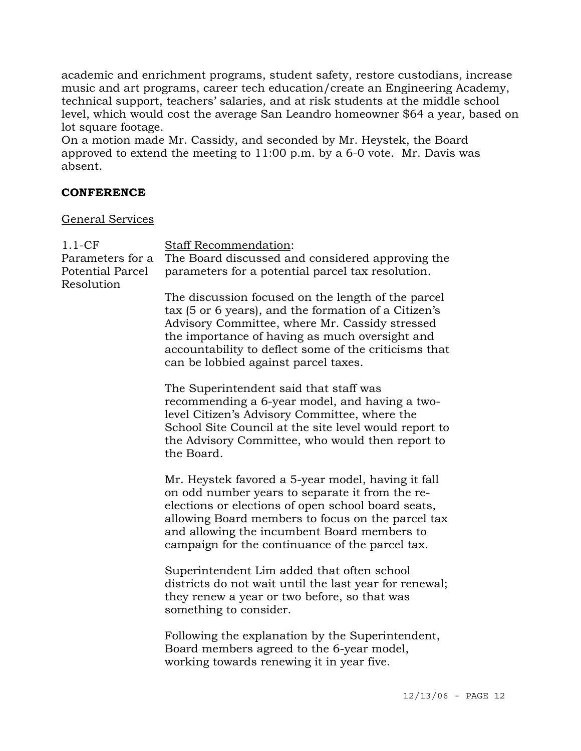academic and enrichment programs, student safety, restore custodians, increase music and art programs, career tech education/create an Engineering Academy, technical support, teachers' salaries, and at risk students at the middle school level, which would cost the average San Leandro homeowner \$64 a year, based on lot square footage.

On a motion made Mr. Cassidy, and seconded by Mr. Heystek, the Board approved to extend the meeting to 11:00 p.m. by a 6-0 vote. Mr. Davis was absent.

#### **CONFERENCE**

#### General Services

| $1.1-CF$<br>Parameters for a<br><b>Potential Parcel</b><br>Resolution | Staff Recommendation:<br>The Board discussed and considered approving the<br>parameters for a potential parcel tax resolution.                                                                                                                                                                                     |
|-----------------------------------------------------------------------|--------------------------------------------------------------------------------------------------------------------------------------------------------------------------------------------------------------------------------------------------------------------------------------------------------------------|
|                                                                       | The discussion focused on the length of the parcel<br>tax (5 or 6 years), and the formation of a Citizen's<br>Advisory Committee, where Mr. Cassidy stressed<br>the importance of having as much oversight and<br>accountability to deflect some of the criticisms that<br>can be lobbied against parcel taxes.    |
|                                                                       | The Superintendent said that staff was<br>recommending a 6-year model, and having a two-<br>level Citizen's Advisory Committee, where the<br>School Site Council at the site level would report to<br>the Advisory Committee, who would then report to<br>the Board.                                               |
|                                                                       | Mr. Heystek favored a 5-year model, having it fall<br>on odd number years to separate it from the re-<br>elections or elections of open school board seats,<br>allowing Board members to focus on the parcel tax<br>and allowing the incumbent Board members to<br>campaign for the continuance of the parcel tax. |
|                                                                       | Superintendent Lim added that often school<br>districts do not wait until the last year for renewal;<br>they renew a year or two before, so that was<br>something to consider.                                                                                                                                     |
|                                                                       | Following the explanation by the Superintendent,<br>Board members agreed to the 6-year model,<br>working towards renewing it in year five.                                                                                                                                                                         |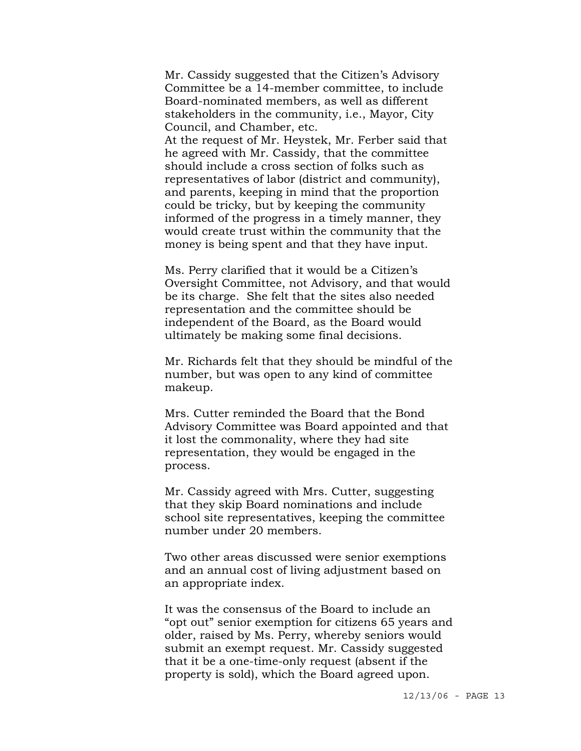Mr. Cassidy suggested that the Citizen's Advisory Committee be a 14-member committee, to include Board-nominated members, as well as different stakeholders in the community, i.e., Mayor, City Council, and Chamber, etc.

At the request of Mr. Heystek, Mr. Ferber said that he agreed with Mr. Cassidy, that the committee should include a cross section of folks such as representatives of labor (district and community), and parents, keeping in mind that the proportion could be tricky, but by keeping the community informed of the progress in a timely manner, they would create trust within the community that the money is being spent and that they have input.

Ms. Perry clarified that it would be a Citizen's Oversight Committee, not Advisory, and that would be its charge. She felt that the sites also needed representation and the committee should be independent of the Board, as the Board would ultimately be making some final decisions.

Mr. Richards felt that they should be mindful of the number, but was open to any kind of committee makeup.

Mrs. Cutter reminded the Board that the Bond Advisory Committee was Board appointed and that it lost the commonality, where they had site representation, they would be engaged in the process.

Mr. Cassidy agreed with Mrs. Cutter, suggesting that they skip Board nominations and include school site representatives, keeping the committee number under 20 members.

Two other areas discussed were senior exemptions and an annual cost of living adjustment based on an appropriate index.

It was the consensus of the Board to include an "opt out" senior exemption for citizens 65 years and older, raised by Ms. Perry, whereby seniors would submit an exempt request. Mr. Cassidy suggested that it be a one-time-only request (absent if the property is sold), which the Board agreed upon.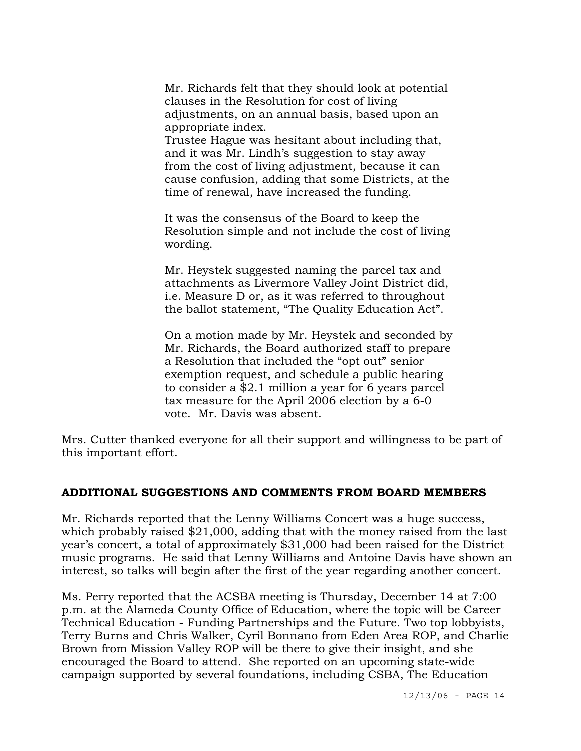Mr. Richards felt that they should look at potential clauses in the Resolution for cost of living adjustments, on an annual basis, based upon an appropriate index.

Trustee Hague was hesitant about including that, and it was Mr. Lindh's suggestion to stay away from the cost of living adjustment, because it can cause confusion, adding that some Districts, at the time of renewal, have increased the funding.

It was the consensus of the Board to keep the Resolution simple and not include the cost of living wording.

Mr. Heystek suggested naming the parcel tax and attachments as Livermore Valley Joint District did, i.e. Measure D or, as it was referred to throughout the ballot statement, "The Quality Education Act".

On a motion made by Mr. Heystek and seconded by Mr. Richards, the Board authorized staff to prepare a Resolution that included the "opt out" senior exemption request, and schedule a public hearing to consider a \$2.1 million a year for 6 years parcel tax measure for the April 2006 election by a 6-0 vote. Mr. Davis was absent.

Mrs. Cutter thanked everyone for all their support and willingness to be part of this important effort.

### **ADDITIONAL SUGGESTIONS AND COMMENTS FROM BOARD MEMBERS**

Mr. Richards reported that the Lenny Williams Concert was a huge success, which probably raised \$21,000, adding that with the money raised from the last year's concert, a total of approximately \$31,000 had been raised for the District music programs. He said that Lenny Williams and Antoine Davis have shown an interest, so talks will begin after the first of the year regarding another concert.

Ms. Perry reported that the ACSBA meeting is Thursday, December 14 at 7:00 p.m. at the Alameda County Office of Education, where the topic will be Career Technical Education - Funding Partnerships and the Future. Two top lobbyists, Terry Burns and Chris Walker, Cyril Bonnano from Eden Area ROP, and Charlie Brown from Mission Valley ROP will be there to give their insight, and she encouraged the Board to attend. She reported on an upcoming state-wide campaign supported by several foundations, including CSBA, The Education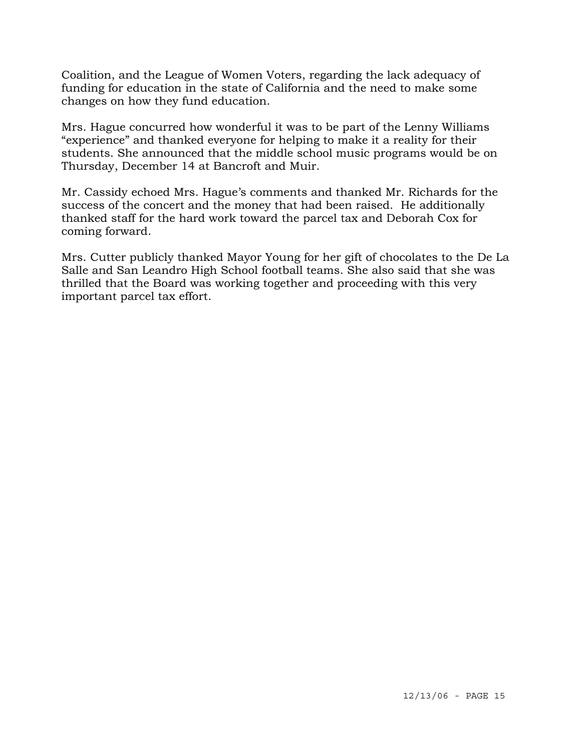Coalition, and the League of Women Voters, regarding the lack adequacy of funding for education in the state of California and the need to make some changes on how they fund education.

Mrs. Hague concurred how wonderful it was to be part of the Lenny Williams "experience" and thanked everyone for helping to make it a reality for their students. She announced that the middle school music programs would be on Thursday, December 14 at Bancroft and Muir.

Mr. Cassidy echoed Mrs. Hague's comments and thanked Mr. Richards for the success of the concert and the money that had been raised. He additionally thanked staff for the hard work toward the parcel tax and Deborah Cox for coming forward.

Mrs. Cutter publicly thanked Mayor Young for her gift of chocolates to the De La Salle and San Leandro High School football teams. She also said that she was thrilled that the Board was working together and proceeding with this very important parcel tax effort.